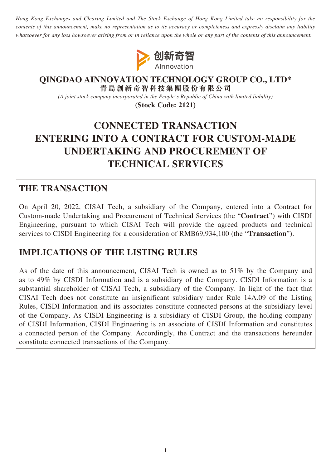*Hong Kong Exchanges and Clearing Limited and The Stock Exchange of Hong Kong Limited take no responsibility for the contents of this announcement, make no representation as to its accuracy or completeness and expressly disclaim any liability whatsoever for any loss howsoever arising from or in reliance upon the whole or any part of the contents of this announcement.*



#### **QINGDAO AINNOVATION TECHNOLOGY GROUP CO., LTD\* 青島創新奇智科技集團股份有限公司**

*(A joint stock company incorporated in the People's Republic of China with limited liability)*

**(Stock Code: 2121)**

# **CONNECTED TRANSACTION ENTERING INTO A CONTRACT FOR CUSTOM-MADE UNDERTAKING AND PROCUREMENT OF TECHNICAL SERVICES**

# **THE TRANSACTION**

On April 20, 2022, CISAI Tech, a subsidiary of the Company, entered into a Contract for Custom-made Undertaking and Procurement of Technical Services (the "**Contract**") with CISDI Engineering, pursuant to which CISAI Tech will provide the agreed products and technical services to CISDI Engineering for a consideration of RMB69,934,100 (the "**Transaction**").

# **IMPLICATIONS OF THE LISTING RULES**

As of the date of this announcement, CISAI Tech is owned as to 51% by the Company and as to 49% by CISDI Information and is a subsidiary of the Company. CISDI Information is a substantial shareholder of CISAI Tech, a subsidiary of the Company. In light of the fact that CISAI Tech does not constitute an insignificant subsidiary under Rule 14A.09 of the Listing Rules, CISDI Information and its associates constitute connected persons at the subsidiary level of the Company. As CISDI Engineering is a subsidiary of CISDI Group, the holding company of CISDI Information, CISDI Engineering is an associate of CISDI Information and constitutes a connected person of the Company. Accordingly, the Contract and the transactions hereunder constitute connected transactions of the Company.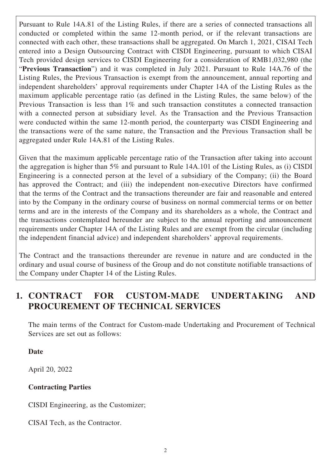Pursuant to Rule 14A.81 of the Listing Rules, if there are a series of connected transactions all conducted or completed within the same 12-month period, or if the relevant transactions are connected with each other, these transactions shall be aggregated. On March 1, 2021, CISAI Tech entered into a Design Outsourcing Contract with CISDI Engineering, pursuant to which CISAI Tech provided design services to CISDI Engineering for a consideration of RMB1,032,980 (the "**Previous Transaction**") and it was completed in July 2021. Pursuant to Rule 14A.76 of the Listing Rules, the Previous Transaction is exempt from the announcement, annual reporting and independent shareholders' approval requirements under Chapter 14A of the Listing Rules as the maximum applicable percentage ratio (as defined in the Listing Rules, the same below) of the Previous Transaction is less than 1% and such transaction constitutes a connected transaction with a connected person at subsidiary level. As the Transaction and the Previous Transaction were conducted within the same 12-month period, the counterparty was CISDI Engineering and the transactions were of the same nature, the Transaction and the Previous Transaction shall be aggregated under Rule 14A.81 of the Listing Rules.

Given that the maximum applicable percentage ratio of the Transaction after taking into account the aggregation is higher than 5% and pursuant to Rule 14A.101 of the Listing Rules, as (i) CISDI Engineering is a connected person at the level of a subsidiary of the Company; (ii) the Board has approved the Contract; and (iii) the independent non-executive Directors have confirmed that the terms of the Contract and the transactions thereunder are fair and reasonable and entered into by the Company in the ordinary course of business on normal commercial terms or on better terms and are in the interests of the Company and its shareholders as a whole, the Contract and the transactions contemplated hereunder are subject to the annual reporting and announcement requirements under Chapter 14A of the Listing Rules and are exempt from the circular (including the independent financial advice) and independent shareholders' approval requirements.

The Contract and the transactions thereunder are revenue in nature and are conducted in the ordinary and usual course of business of the Group and do not constitute notifiable transactions of the Company under Chapter 14 of the Listing Rules.

# **1. CONTRACT FOR CUSTOM-MADE UNDERTAKING AND PROCUREMENT OF TECHNICAL SERVICES**

The main terms of the Contract for Custom-made Undertaking and Procurement of Technical Services are set out as follows:

### **Date**

April 20, 2022

### **Contracting Parties**

CISDI Engineering, as the Customizer;

CISAI Tech, as the Contractor.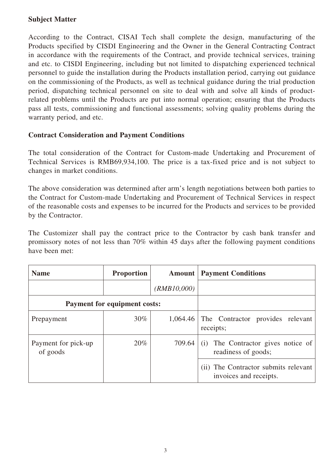### **Subject Matter**

According to the Contract, CISAI Tech shall complete the design, manufacturing of the Products specified by CISDI Engineering and the Owner in the General Contracting Contract in accordance with the requirements of the Contract, and provide technical services, training and etc. to CISDI Engineering, including but not limited to dispatching experienced technical personnel to guide the installation during the Products installation period, carrying out guidance on the commissioning of the Products, as well as technical guidance during the trial production period, dispatching technical personnel on site to deal with and solve all kinds of productrelated problems until the Products are put into normal operation; ensuring that the Products pass all tests, commissioning and functional assessments; solving quality problems during the warranty period, and etc.

### **Contract Consideration and Payment Conditions**

The total consideration of the Contract for Custom-made Undertaking and Procurement of Technical Services is RMB69,934,100. The price is a tax-fixed price and is not subject to changes in market conditions.

The above consideration was determined after arm's length negotiations between both parties to the Contract for Custom-made Undertaking and Procurement of Technical Services in respect of the reasonable costs and expenses to be incurred for the Products and services to be provided by the Contractor.

The Customizer shall pay the contract price to the Contractor by cash bank transfer and promissory notes of not less than 70% within 45 days after the following payment conditions have been met:

| <b>Name</b>                         | <b>Proportion</b> | Amount      | <b>Payment Conditions</b>                                      |
|-------------------------------------|-------------------|-------------|----------------------------------------------------------------|
|                                     |                   | (RMB10,000) |                                                                |
| <b>Payment for equipment costs:</b> |                   |             |                                                                |
| Prepayment                          | 30%               | 1,064.46    | The Contractor provides relevant<br>receipts;                  |
| Payment for pick-up<br>of goods     | 20%               | 709.64      | The Contractor gives notice of<br>(i)<br>readiness of goods;   |
|                                     |                   |             | (ii) The Contractor submits relevant<br>invoices and receipts. |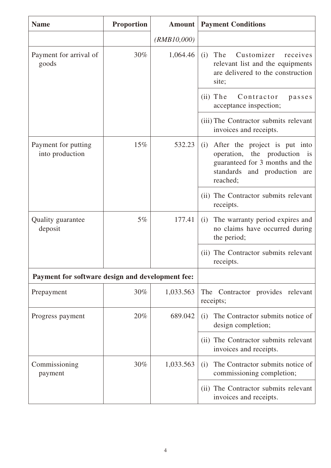| <b>Name</b>                                      | <b>Proportion</b> | <b>Amount</b> | <b>Payment Conditions</b>                                                                                                                              |
|--------------------------------------------------|-------------------|---------------|--------------------------------------------------------------------------------------------------------------------------------------------------------|
|                                                  |                   | (RMB10,000)   |                                                                                                                                                        |
| Payment for arrival of<br>goods                  | 30%               | 1,064.46      | The<br>Customizer<br>(i)<br>receives<br>relevant list and the equipments<br>are delivered to the construction<br>site;                                 |
|                                                  |                   |               | $(ii)$ The<br>Contractor<br>passes<br>acceptance inspection;                                                                                           |
|                                                  |                   |               | (iii) The Contractor submits relevant<br>invoices and receipts.                                                                                        |
| Payment for putting<br>into production           | 15%               | 532.23        | After the project is put into<br>(i)<br>operation, the production is<br>guaranteed for 3 months and the<br>standards and production<br>are<br>reached; |
|                                                  |                   |               | (ii) The Contractor submits relevant<br>receipts.                                                                                                      |
| Quality guarantee<br>deposit                     | 5%                | 177.41        | The warranty period expires and<br>(i)<br>no claims have occurred during<br>the period;                                                                |
|                                                  |                   |               | The Contractor submits relevant<br>(ii)<br>receipts.                                                                                                   |
| Payment for software design and development fee: |                   |               |                                                                                                                                                        |
| Prepayment                                       | 30%               | 1,033.563     | The Contractor provides relevant<br>receipts;                                                                                                          |
| Progress payment                                 | 20%               | 689.042       | The Contractor submits notice of<br>(i)<br>design completion;                                                                                          |
|                                                  |                   |               | The Contractor submits relevant<br>(ii)<br>invoices and receipts.                                                                                      |
| Commissioning<br>payment                         | 30%               | 1,033.563     | The Contractor submits notice of<br>(i)<br>commissioning completion;                                                                                   |
|                                                  |                   |               | (ii) The Contractor submits relevant<br>invoices and receipts.                                                                                         |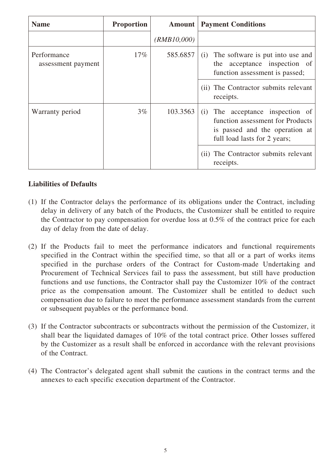| <b>Name</b>                       | <b>Proportion</b> | <b>Amount</b> | <b>Payment Conditions</b>                                                                                                                 |
|-----------------------------------|-------------------|---------------|-------------------------------------------------------------------------------------------------------------------------------------------|
|                                   |                   | (RMB10,000)   |                                                                                                                                           |
| Performance<br>assessment payment | $17\%$            | 585.6857      | The software is put into use and<br>(i)<br>acceptance inspection of<br>the<br>function assessment is passed;                              |
|                                   |                   |               | (ii) The Contractor submits relevant<br>receipts.                                                                                         |
| Warranty period                   | $3\%$             | 103.3563      | The acceptance inspection of<br>(i)<br>function assessment for Products<br>is passed and the operation at<br>full load lasts for 2 years; |
|                                   |                   |               | (ii) The Contractor submits relevant<br>receipts.                                                                                         |

#### **Liabilities of Defaults**

- (1) If the Contractor delays the performance of its obligations under the Contract, including delay in delivery of any batch of the Products, the Customizer shall be entitled to require the Contractor to pay compensation for overdue loss at 0.5% of the contract price for each day of delay from the date of delay.
- (2) If the Products fail to meet the performance indicators and functional requirements specified in the Contract within the specified time, so that all or a part of works items specified in the purchase orders of the Contract for Custom-made Undertaking and Procurement of Technical Services fail to pass the assessment, but still have production functions and use functions, the Contractor shall pay the Customizer 10% of the contract price as the compensation amount. The Customizer shall be entitled to deduct such compensation due to failure to meet the performance assessment standards from the current or subsequent payables or the performance bond.
- (3) If the Contractor subcontracts or subcontracts without the permission of the Customizer, it shall bear the liquidated damages of 10% of the total contract price. Other losses suffered by the Customizer as a result shall be enforced in accordance with the relevant provisions of the Contract.
- (4) The Contractor's delegated agent shall submit the cautions in the contract terms and the annexes to each specific execution department of the Contractor.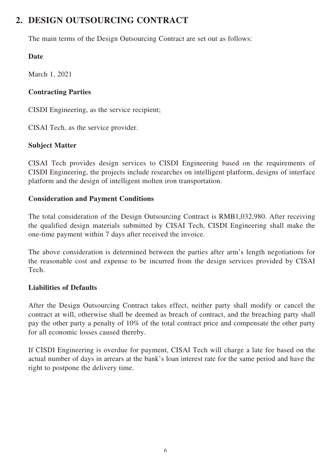# **2. DESIGN OUTSOURCING CONTRACT**

The main terms of the Design Outsourcing Contract are set out as follows:

## **Date**

March 1, 2021

### **Contracting Parties**

CISDI Engineering, as the service recipient;

CISAI Tech, as the service provider.

## **Subject Matter**

CISAI Tech provides design services to CISDI Engineering based on the requirements of CISDI Engineering, the projects include researches on intelligent platform, designs of interface platform and the design of intelligent molten iron transportation.

### **Consideration and Payment Conditions**

The total consideration of the Design Outsourcing Contract is RMB1,032,980. After receiving the qualified design materials submitted by CISAI Tech, CISDI Engineering shall make the one-time payment within 7 days after received the invoice.

The above consideration is determined between the parties after arm's length negotiations for the reasonable cost and expense to be incurred from the design services provided by CISAI Tech.

### **Liabilities of Defaults**

After the Design Outsourcing Contract takes effect, neither party shall modify or cancel the contract at will, otherwise shall be deemed as breach of contract, and the breaching party shall pay the other party a penalty of 10% of the total contract price and compensate the other party for all economic losses caused thereby.

If CISDI Engineering is overdue for payment, CISAI Tech will charge a late fee based on the actual number of days in arrears at the bank's loan interest rate for the same period and have the right to postpone the delivery time.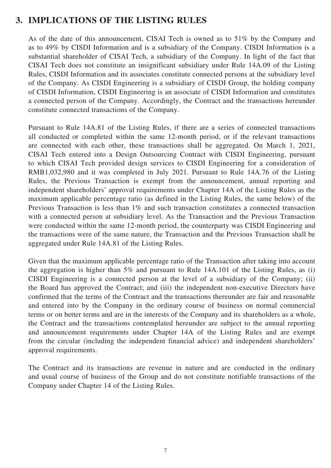# **3. IMPLICATIONS OF THE LISTING RULES**

As of the date of this announcement, CISAI Tech is owned as to 51% by the Company and as to 49% by CISDI Information and is a subsidiary of the Company. CISDI Information is a substantial shareholder of CISAI Tech, a subsidiary of the Company. In light of the fact that CISAI Tech does not constitute an insignificant subsidiary under Rule 14A.09 of the Listing Rules, CISDI Information and its associates constitute connected persons at the subsidiary level of the Company. As CISDI Engineering is a subsidiary of CISDI Group, the holding company of CISDI Information, CISDI Engineering is an associate of CISDI Information and constitutes a connected person of the Company. Accordingly, the Contract and the transactions hereunder constitute connected transactions of the Company.

Pursuant to Rule 14A.81 of the Listing Rules, if there are a series of connected transactions all conducted or completed within the same 12-month period, or if the relevant transactions are connected with each other, these transactions shall be aggregated. On March 1, 2021, CISAI Tech entered into a Design Outsourcing Contract with CISDI Engineering, pursuant to which CISAI Tech provided design services to CISDI Engineering for a consideration of RMB1,032,980 and it was completed in July 2021. Pursuant to Rule 14A.76 of the Listing Rules, the Previous Transaction is exempt from the announcement, annual reporting and independent shareholders' approval requirements under Chapter 14A of the Listing Rules as the maximum applicable percentage ratio (as defined in the Listing Rules, the same below) of the Previous Transaction is less than 1% and such transaction constitutes a connected transaction with a connected person at subsidiary level. As the Transaction and the Previous Transaction were conducted within the same 12-month period, the counterparty was CISDI Engineering and the transactions were of the same nature, the Transaction and the Previous Transaction shall be aggregated under Rule 14A.81 of the Listing Rules.

Given that the maximum applicable percentage ratio of the Transaction after taking into account the aggregation is higher than 5% and pursuant to Rule 14A.101 of the Listing Rules, as (i) CISDI Engineering is a connected person at the level of a subsidiary of the Company; (ii) the Board has approved the Contract; and (iii) the independent non-executive Directors have confirmed that the terms of the Contract and the transactions thereunder are fair and reasonable and entered into by the Company in the ordinary course of business on normal commercial terms or on better terms and are in the interests of the Company and its shareholders as a whole, the Contract and the transactions contemplated hereunder are subject to the annual reporting and announcement requirements under Chapter 14A of the Listing Rules and are exempt from the circular (including the independent financial advice) and independent shareholders' approval requirements.

The Contract and its transactions are revenue in nature and are conducted in the ordinary and usual course of business of the Group and do not constitute notifiable transactions of the Company under Chapter 14 of the Listing Rules.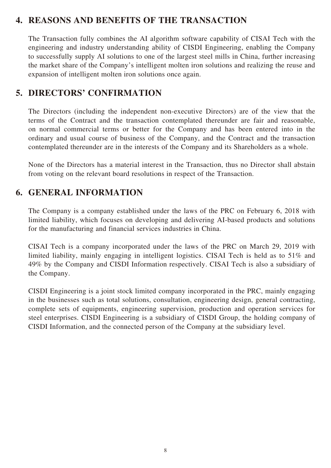# **4. REASONS AND BENEFITS OF THE TRANSACTION**

The Transaction fully combines the AI algorithm software capability of CISAI Tech with the engineering and industry understanding ability of CISDI Engineering, enabling the Company to successfully supply AI solutions to one of the largest steel mills in China, further increasing the market share of the Company's intelligent molten iron solutions and realizing the reuse and expansion of intelligent molten iron solutions once again.

# **5. DIRECTORS' CONFIRMATION**

The Directors (including the independent non-executive Directors) are of the view that the terms of the Contract and the transaction contemplated thereunder are fair and reasonable, on normal commercial terms or better for the Company and has been entered into in the ordinary and usual course of business of the Company, and the Contract and the transaction contemplated thereunder are in the interests of the Company and its Shareholders as a whole.

None of the Directors has a material interest in the Transaction, thus no Director shall abstain from voting on the relevant board resolutions in respect of the Transaction.

# **6. GENERAL INFORMATION**

The Company is a company established under the laws of the PRC on February 6, 2018 with limited liability, which focuses on developing and delivering AI-based products and solutions for the manufacturing and financial services industries in China.

CISAI Tech is a company incorporated under the laws of the PRC on March 29, 2019 with limited liability, mainly engaging in intelligent logistics. CISAI Tech is held as to 51% and 49% by the Company and CISDI Information respectively. CISAI Tech is also a subsidiary of the Company.

CISDI Engineering is a joint stock limited company incorporated in the PRC, mainly engaging in the businesses such as total solutions, consultation, engineering design, general contracting, complete sets of equipments, engineering supervision, production and operation services for steel enterprises. CISDI Engineering is a subsidiary of CISDI Group, the holding company of CISDI Information, and the connected person of the Company at the subsidiary level.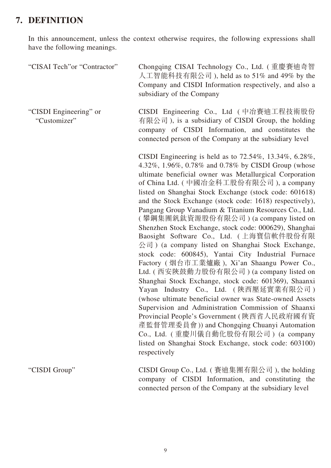# **7. DEFINITION**

In this announcement, unless the context otherwise requires, the following expressions shall have the following meanings.

| "CISAI Tech" or "Contractor"           | Chongqing CISAI Technology Co., Ltd. (重慶賽迪奇智<br>人工智能科技有限公司 ), held as to 51% and 49% by the<br>Company and CISDI Information respectively, and also a<br>subsidiary of the Company                                                                                                                                                                                                                                                                                                                                                                                                                                                                                                                                                                                                                                                                                                                                                                                                                                                                                                                                                                                                                                           |
|----------------------------------------|------------------------------------------------------------------------------------------------------------------------------------------------------------------------------------------------------------------------------------------------------------------------------------------------------------------------------------------------------------------------------------------------------------------------------------------------------------------------------------------------------------------------------------------------------------------------------------------------------------------------------------------------------------------------------------------------------------------------------------------------------------------------------------------------------------------------------------------------------------------------------------------------------------------------------------------------------------------------------------------------------------------------------------------------------------------------------------------------------------------------------------------------------------------------------------------------------------------------------|
| "CISDI Engineering" or<br>"Customizer" | CISDI Engineering Co., Ltd (中冶賽迪工程技術股份<br>有限公司), is a subsidiary of CISDI Group, the holding<br>company of CISDI Information, and constitutes the<br>connected person of the Company at the subsidiary level                                                                                                                                                                                                                                                                                                                                                                                                                                                                                                                                                                                                                                                                                                                                                                                                                                                                                                                                                                                                                 |
|                                        | CISDI Engineering is held as to $72.54\%$ , $13.34\%$ , $6.28\%$ ,<br>4.32%, 1.96%, 0.78% and 0.78% by CISDI Group (whose<br>ultimate beneficial owner was Metallurgical Corporation<br>of China Ltd. (中國治金科工股份有限公司), a company<br>listed on Shanghai Stock Exchange (stock code: 601618)<br>and the Stock Exchange (stock code: 1618) respectively),<br>Pangang Group Vanadium & Titanium Resources Co., Ltd.<br>( 攀鋼集團釩鈦資源股份有限公司 ) (a company listed on<br>Shenzhen Stock Exchange, stock code: 000629), Shanghai<br>Baosight Software Co., Ltd. (上海寶信軟件股份有限<br>$\Diamond \exists$ ) (a company listed on Shanghai Stock Exchange,<br>stock code: 600845), Yantai City Industrial Furnace<br>Factory (烟台市工業爐廠), Xi'an Shaangu Power Co.,<br>Ltd. ( 西安陝鼓動力股份有限公司 ) (a company listed on<br>Shanghai Stock Exchange, stock code: 601369), Shaanxi<br>Yayan Industry Co., Ltd. (陝西壓延實業有限公司)<br>(whose ultimate beneficial owner was State-owned Assets<br>Supervision and Administration Commission of Shaanxi<br>Provincial People's Government (陝西省人民政府國有資<br>產監督管理委員會)) and Chongqing Chuanyi Automation<br>Co., Ltd. (重慶川儀自動化股份有限公司) (a company<br>listed on Shanghai Stock Exchange, stock code: 603100)<br>respectively |
| "CISDI Group"                          | CISDI Group Co., Ltd. ( 賽迪集團有限公司), the holding<br>company of CISDI Information, and constituting the<br>connected person of the Company at the subsidiary level                                                                                                                                                                                                                                                                                                                                                                                                                                                                                                                                                                                                                                                                                                                                                                                                                                                                                                                                                                                                                                                              |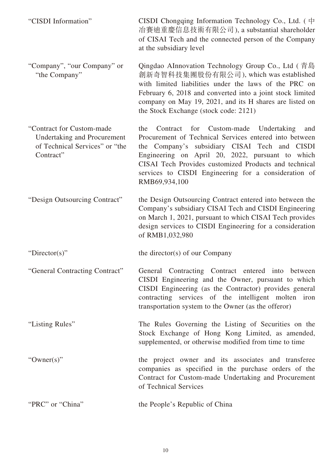| "CISDI Information"                                                                                     | CISDI Chongqing Information Technology Co., Ltd. $(\dagger)$<br>冶賽迪重慶信息技術有限公司), a substantial shareholder<br>of CISAI Tech and the connected person of the Company<br>at the subsidiary level                                                                                                                                                                |
|---------------------------------------------------------------------------------------------------------|--------------------------------------------------------------------------------------------------------------------------------------------------------------------------------------------------------------------------------------------------------------------------------------------------------------------------------------------------------------|
| "Company", "our Company" or<br>"the Company"                                                            | Qingdao AInnovation Technology Group Co., Ltd (青島<br>創新奇智科技集團股份有限公司), which was established<br>with limited liabilities under the laws of the PRC on<br>February 6, 2018 and converted into a joint stock limited<br>company on May 19, 2021, and its H shares are listed on<br>the Stock Exchange (stock code: 2121)                                        |
| "Contract for Custom-made<br>Undertaking and Procurement<br>of Technical Services" or "the<br>Contract" | Custom-made<br>for<br>Undertaking<br>the<br>Contract<br>and<br>Procurement of Technical Services entered into between<br>the Company's subsidiary CISAI Tech and CISDI<br>Engineering on April 20, 2022, pursuant to which<br>CISAI Tech Provides customized Products and technical<br>services to CISDI Engineering for a consideration of<br>RMB69,934,100 |
| "Design Outsourcing Contract"                                                                           | the Design Outsourcing Contract entered into between the<br>Company's subsidiary CISAI Tech and CISDI Engineering<br>on March 1, 2021, pursuant to which CISAI Tech provides<br>design services to CISDI Engineering for a consideration<br>of RMB1,032,980                                                                                                  |
| "Director(s)"                                                                                           | the director(s) of our Company                                                                                                                                                                                                                                                                                                                               |
| "General Contracting Contract"                                                                          | General Contracting Contract entered into between<br>CISDI Engineering and the Owner, pursuant to which<br>CISDI Engineering (as the Contractor) provides general<br>contracting services of the intelligent molten iron<br>transportation system to the Owner (as the offeror)                                                                              |
| "Listing Rules"                                                                                         | The Rules Governing the Listing of Securities on the<br>Stock Exchange of Hong Kong Limited, as amended,<br>supplemented, or otherwise modified from time to time                                                                                                                                                                                            |
| " $Owner(s)$ "                                                                                          | the project owner and its associates and transferee<br>companies as specified in the purchase orders of the<br>Contract for Custom-made Undertaking and Procurement<br>of Technical Services                                                                                                                                                                 |
| "PRC" or "China"                                                                                        | the People's Republic of China                                                                                                                                                                                                                                                                                                                               |